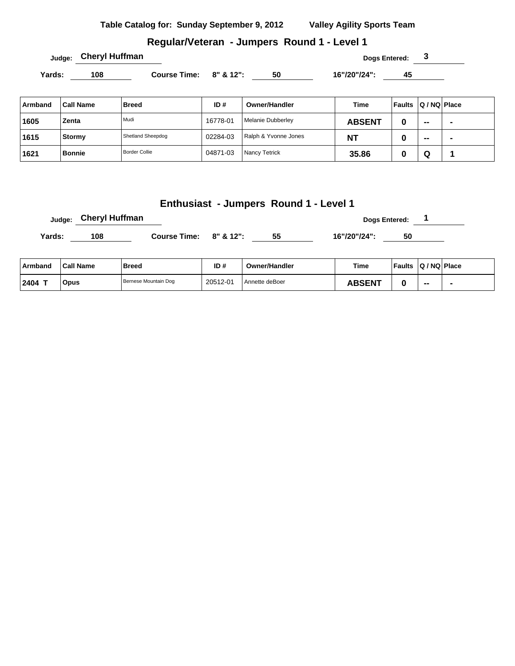#### **Regular/Veteran - Jumpers Round 1 - Level 1**

Yards: 108 **Course Time: 8" & 12":** 50 16"/20"/24": 45

| Armband | <b>Call Name</b> | <b>Breed</b>         | ID#      | Owner/Handler        | Time          | Faults | $ Q/NQ $ Place |   |
|---------|------------------|----------------------|----------|----------------------|---------------|--------|----------------|---|
| 1605    | Zenta            | Mudi                 | 16778-01 | Melanie Dubberley    | <b>ABSENT</b> | υ      | $- -$          |   |
| 1615    | Stormy           | Shetland Sheepdog    | 02284-03 | Ralph & Yvonne Jones | <b>NT</b>     | ν      | $\sim$         | ۰ |
| 1621    | <b>Bonnie</b>    | <b>Border Collie</b> | 04871-03 | Nancy Tetrick        | 35.86         | w      | Q              |   |

#### **Enthusiast - Jumpers Round 1 - Level 1**

|        | Judge: Cheryl Huffman |                              |    | <b>Dogs Entered:</b> |    |  |  |  |
|--------|-----------------------|------------------------------|----|----------------------|----|--|--|--|
| Yards: | 108                   | Course Time: $8''$ & $12"$ : | 55 | 16"/20"/24":         | 50 |  |  |  |

| ∣ Armband | <b>Call Name</b> | Breed                | ID#      | <b>Owner/Handler</b> | Time          | <b>Faults</b> | $ Q/NQ $ Place |  |
|-----------|------------------|----------------------|----------|----------------------|---------------|---------------|----------------|--|
| 2404 T    | <b>Opus</b>      | Bernese Mountain Dog | 20512-01 | Annette deBoer       | <b>ABSENT</b> |               | $\sim$         |  |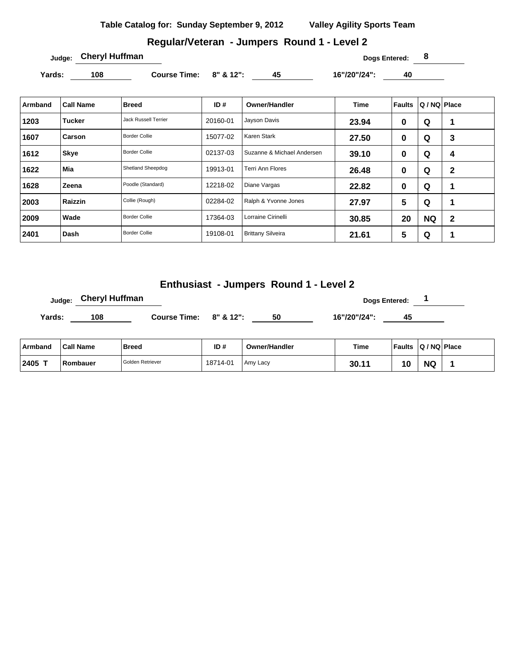# **Regular/Veteran - Jumpers Round 1 - Level 2**

Yards: 108 Course Time: 8" & 12": 45 16"/20"/24": 40

| Armband | <b>Call Name</b> | <b>Breed</b>                | ID#      | <b>Owner/Handler</b>       | <b>Time</b> | Faults         | Q / NQ   Place |              |
|---------|------------------|-----------------------------|----------|----------------------------|-------------|----------------|----------------|--------------|
| 1203    | Tucker           | <b>Jack Russell Terrier</b> | 20160-01 | Jayson Davis               | 23.94       | 0              | Q              | 1            |
| 1607    | Carson           | <b>Border Collie</b>        | 15077-02 | Karen Stark                | 27.50       | 0              | Q              | 3            |
| 1612    | <b>Skye</b>      | <b>Border Collie</b>        | 02137-03 | Suzanne & Michael Andersen | 39.10       | 0              | Q              | 4            |
| 1622    | Mia              | Shetland Sheepdog           | 19913-01 | Terri Ann Flores           | 26.48       | 0              | Q              | $\mathbf{2}$ |
| 1628    | Zeena            | Poodle (Standard)           | 12218-02 | Diane Vargas               | 22.82       | 0              | Q              | 1            |
| 2003    | Raizzin          | Collie (Rough)              | 02284-02 | Ralph & Yvonne Jones       | 27.97       | $5\phantom{1}$ | Q              | 1            |
| 2009    | Wade             | <b>Border Collie</b>        | 17364-03 | Lorraine Cirinelli         | 30.85       | 20             | <b>NQ</b>      | $\mathbf{2}$ |
| 2401    | ⊺Dash            | <b>Border Collie</b>        | 19108-01 | <b>Brittany Silveira</b>   | 21.61       | $\sqrt{5}$     | Q              | и            |

## **Enthusiast - Jumpers Round 1 - Level 2**

| <sub>Judge:</sub> Cheryl Huffman |                        |    |              | Dogs Entered: |  |
|----------------------------------|------------------------|----|--------------|---------------|--|
| 108<br>Yards:                    | Course Time: 8" & 12": | 50 | 16"/20"/24": | 45            |  |

| ∣ Armband      | <b>Call Name</b> | <b>Breed</b>     | ID#      | <b>Owner/Handler</b> | <b>Time</b> | <b>Faults</b> | $ Q/NQ $ Place |  |
|----------------|------------------|------------------|----------|----------------------|-------------|---------------|----------------|--|
| $12405$ $\tau$ | Rombauer         | Golden Retriever | 18714-01 | Amy Lacy             | 30.11       | 10            | <b>NQ</b>      |  |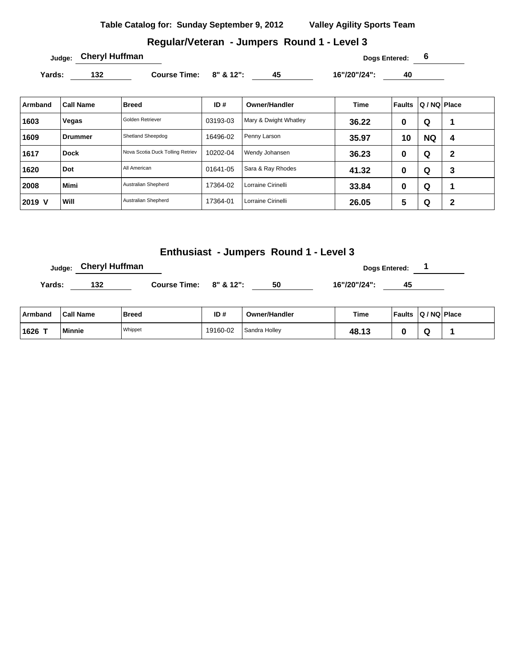## **Regular/Veteran - Jumpers Round 1 - Level 3**

**Judge: Cheryl Huffman Dogs Entered: 6** 

Yards: 132 **Course Time: 8" & 12":** 45 16"/20"/24": 40

| Armband | <b>Call Name</b> | <b>Breed</b>                     | ID#      | <b>Owner/Handler</b>  | <b>Time</b> | Faults | Q / NQ Place |   |
|---------|------------------|----------------------------------|----------|-----------------------|-------------|--------|--------------|---|
| 1603    | Vegas            | Golden Retriever                 | 03193-03 | Mary & Dwight Whatley | 36.22       | 0      | Q            |   |
| 1609    | ∍Drummer         | Shetland Sheepdog                | 16496-02 | Penny Larson          | 35.97       | 10     | <b>NQ</b>    | 4 |
| 1617    | <b>Dock</b>      | Nova Scotia Duck Tolling Retriev | 10202-04 | Wendy Johansen        | 36.23       | 0      | Q            | 2 |
| 1620    | Dot              | All American                     | 01641-05 | Sara & Ray Rhodes     | 41.32       | 0      | Q            | 3 |
| 2008    | <b>Mimi</b>      | Australian Shepherd              | 17364-02 | Lorraine Cirinelli    | 33.84       | 0      | Q            |   |
| 2019 V  | Will             | Australian Shepherd              | 17364-01 | Lorraine Cirinelli    | 26.05       | 5      | Q            | 2 |

## **Enthusiast - Jumpers Round 1 - Level 3**

**Judge:** Cheryl Huffman **and Cheryl Huffman Dogs Entered:** 1

**Yards: 132 Course Time: 8" & 12": 50 16"/20"/24": 45** 

| ∣ Armband | <b>Call Name</b> | Breed   | ID#      | <b>Owner/Handler</b>       | Time  | <b>Faults</b> | Q / NQ Place |  |
|-----------|------------------|---------|----------|----------------------------|-------|---------------|--------------|--|
| ⊺1626     | <b>Minnie</b>    | Whippet | 19160-02 | <sup>1</sup> Sandra Holley | 48.13 |               |              |  |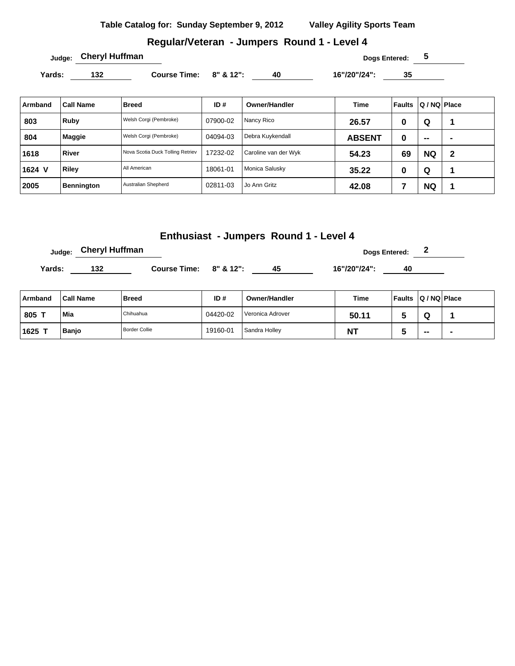## **Regular/Veteran - Jumpers Round 1 - Level 4**

**Yards: 132 Course Time: 8" & 12": 40 16"/20"/24": 35** 

| Armband | <b>Call Name</b>  | <b>Breed</b>                     | ID#      | <b>Owner/Handler</b> | Time          | <b>Faults</b> | Q / NQ   Place |                |
|---------|-------------------|----------------------------------|----------|----------------------|---------------|---------------|----------------|----------------|
| 803     | Ruby              | Welsh Corgi (Pembroke)           | 07900-02 | Nancy Rico           | 26.57         | 0             | Q              |                |
| 804     | <b>Maggie</b>     | Welsh Corgi (Pembroke)           | 04094-03 | Debra Kuykendall     | <b>ABSENT</b> | 0             | $\sim$         | $\blacksquare$ |
| 1618    | <b>River</b>      | Nova Scotia Duck Tolling Retriev | 17232-02 | Caroline van der Wyk | 54.23         | 69            | <b>NQ</b>      | $\mathbf 2$    |
| 1624 V  | Riley             | All American                     | 18061-01 | Monica Salusky       | 35.22         | 0             | Q              |                |
| 2005    | <b>Bennington</b> | Australian Shepherd              | 02811-03 | Jo Ann Gritz         | 42.08         |               | <b>NQ</b>      |                |

## **Enthusiast - Jumpers Round 1 - Level 4**

**Dogs Entered: 2 Dogs Entered: 2** 

**Yards: 132 Course Time: 8" & 12": 45 16"/20"/24": 40** 

| Armband | <b>Call Name</b> | <b>Breed</b>         | ID#      | <b>Owner/Handler</b> | Time      | Faults Q / NQ Place |                          |  |
|---------|------------------|----------------------|----------|----------------------|-----------|---------------------|--------------------------|--|
| 805     | Mia              | Chihuahua            | 04420-02 | Veronica Adrover     | 50.11     |                     |                          |  |
| 1625    | <b>Banjo</b>     | <b>Border Collie</b> | 19160-01 | Sandra Holley        | <b>NT</b> |                     | $\overline{\phantom{a}}$ |  |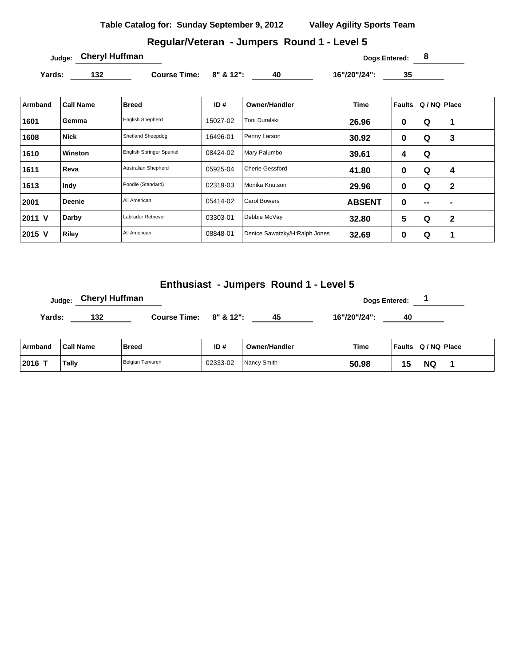## **Regular/Veteran - Jumpers Round 1 - Level 5**

**Judge: Cheryl Huffman Dogs Entered: 8** 

Yards: 132 **Course Time: 8" & 12":** 40 16"/20"/24": 35

| Armband | <b>Call Name</b> | <b>Breed</b>             | ID#      | <b>Owner/Handler</b>          | <b>Time</b>   | <b>Faults</b>  | Q / NQ Place |              |
|---------|------------------|--------------------------|----------|-------------------------------|---------------|----------------|--------------|--------------|
| 1601    | Gemma            | <b>English Shepherd</b>  | 15027-02 | Toni Duralski                 | 26.96         | 0              | Q            | 1            |
| 1608    | <b>Nick</b>      | Shetland Sheepdog        | 16496-01 | Penny Larson                  | 30.92         | 0              | Q            | 3            |
| 1610    | Winston          | English Springer Spaniel | 08424-02 | Mary Palumbo                  | 39.61         | 4              | Q            |              |
| 1611    | Reva             | Australian Shepherd      | 05925-04 | <b>Cherie Gessford</b>        | 41.80         | 0              | Q            | 4            |
| 1613    | Indy             | Poodle (Standard)        | 02319-03 | Monika Knutson                | 29.96         | 0              | Q            | $\mathbf{2}$ |
| 2001    | <b>Deenie</b>    | All American             | 05414-02 | <b>Carol Bowers</b>           | <b>ABSENT</b> | 0              | $\mathbf{m}$ |              |
| 2011 V  | Darby            | Labrador Retriever       | 03303-01 | Debbie McVay                  | 32.80         | $5\phantom{1}$ | Q            | $\mathbf{2}$ |
| 2015 V  | Riley            | All American             | 08848-01 | Denice Sawatzky/H:Ralph Jones | 32.69         | 0              | Q            |              |

## **Enthusiast - Jumpers Round 1 - Level 5**

|        | <sub>Judge:</sub> Cheryl Huffman |                        |    |              | Dogs Entered: |  |
|--------|----------------------------------|------------------------|----|--------------|---------------|--|
| Yards: | 132                              | Course Time: 8" & 12": | 45 | 16"/20"/24": | 40            |  |
|        |                                  |                        |    |              |               |  |

| ∣ Armband | <b>Call Name</b> | <b>Breed</b>     | ID#      | <b>Owner/Handler</b> | <b>Time</b> | Faults | $ Q/NQ $ Place |  |
|-----------|------------------|------------------|----------|----------------------|-------------|--------|----------------|--|
| $ 2016$ T | Tally            | Belgian Tervuren | 02333-02 | Nancy Smith          | 50.98       |        | <b>NG</b>      |  |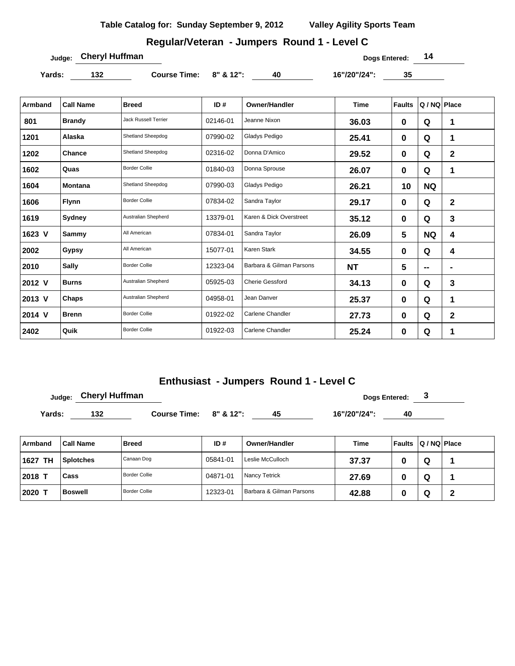# **Regular/Veteran - Jumpers Round 1 - Level C**

**Judge:** Cheryl Huffman **Dogs Entered:** 14

Yards: 132 **Course Time:** 8" & 12": 40 16"/20"/24": 35

| Armband | <b>Call Name</b> | <b>Breed</b>                | ID#      | <b>Owner/Handler</b>     | <b>Time</b> | <b>Faults</b> | Q / NQ Place |                         |  |
|---------|------------------|-----------------------------|----------|--------------------------|-------------|---------------|--------------|-------------------------|--|
| 801     | <b>Brandy</b>    | <b>Jack Russell Terrier</b> | 02146-01 | Jeanne Nixon             | 36.03       | 0             | Q            | 1                       |  |
| 1201    | Alaska           | Shetland Sheepdog           | 07990-02 | Gladys Pedigo            | 25.41       | $\bf{0}$      | Q            | 1                       |  |
| 1202    | Chance           | Shetland Sheepdog           | 02316-02 | Donna D'Amico            | 29.52       | $\bf{0}$      | Q            | 2                       |  |
| 1602    | Quas             | <b>Border Collie</b>        | 01840-03 | Donna Sprouse            | 26.07       | $\bf{0}$      | Q            | 1                       |  |
| 1604    | <b>Montana</b>   | Shetland Sheepdog           | 07990-03 | Gladys Pedigo            | 26.21       | 10            | <b>NQ</b>    |                         |  |
| 1606    | <b>Flynn</b>     | <b>Border Collie</b>        | 07834-02 | Sandra Taylor            | 29.17       | $\bf{0}$      | Q            | $\overline{\mathbf{2}}$ |  |
| 1619    | Sydney           | Australian Shepherd         | 13379-01 | Karen & Dick Overstreet  | 35.12       | $\bf{0}$      | Q            | 3                       |  |
| 1623 V  | Sammy            | All American                | 07834-01 | Sandra Taylor            | 26.09       | 5             | <b>NQ</b>    | 4                       |  |
| 2002    | Gypsy            | All American                | 15077-01 | Karen Stark              | 34.55       | $\mathbf 0$   | Q            | 4                       |  |
| 2010    | <b>Sally</b>     | <b>Border Collie</b>        | 12323-04 | Barbara & Gilman Parsons | <b>NT</b>   | 5             | --           | $\blacksquare$          |  |
| 2012 V  | <b>Burns</b>     | Australian Shepherd         | 05925-03 | <b>Cherie Gessford</b>   | 34.13       | $\bf{0}$      | Q            | 3                       |  |
| 2013 V  | Chaps            | Australian Shepherd         | 04958-01 | Jean Danver              | 25.37       | 0             | Q            | 1                       |  |
| 2014 V  | <b>Brenn</b>     | <b>Border Collie</b>        | 01922-02 | <b>Carlene Chandler</b>  | 27.73       | $\bf{0}$      | Q            | 2                       |  |
| 2402    | Quik             | <b>Border Collie</b>        | 01922-03 | <b>Carlene Chandler</b>  | 25.24       | 0             | Q            | 1                       |  |

## **Enthusiast - Jumpers Round 1 - Level C**

|         | <b>Cheryl Huffman</b><br>Judge: |                           |     |                      | Dogs Entered: |                         |  |  |  |  |
|---------|---------------------------------|---------------------------|-----|----------------------|---------------|-------------------------|--|--|--|--|
| Yards:  | 132                             | Course Time: $8''$ & 12": |     | 45                   | 16"/20"/24":  | 40                      |  |  |  |  |
| Armband | <b>Call Name</b>                | <b>Breed</b>              | ID# | <b>Owner/Handler</b> | <b>Time</b>   | Faults   Q / NQ   Place |  |  |  |  |

| <b>TH</b><br>1627 | <b>Splotches</b> | Canaan Dog           | 05841-01 | Leslie McCulloch         | 37.37 | w |  |
|-------------------|------------------|----------------------|----------|--------------------------|-------|---|--|
| 2018              | Cass             | <b>Border Collie</b> | 04871-01 | Nancy Tetrick            | 27.69 | w |  |
| 2020 T            | <b>Boswell</b>   | <b>Border Collie</b> | 12323-01 | Barbara & Gilman Parsons | 42.88 | v |  |